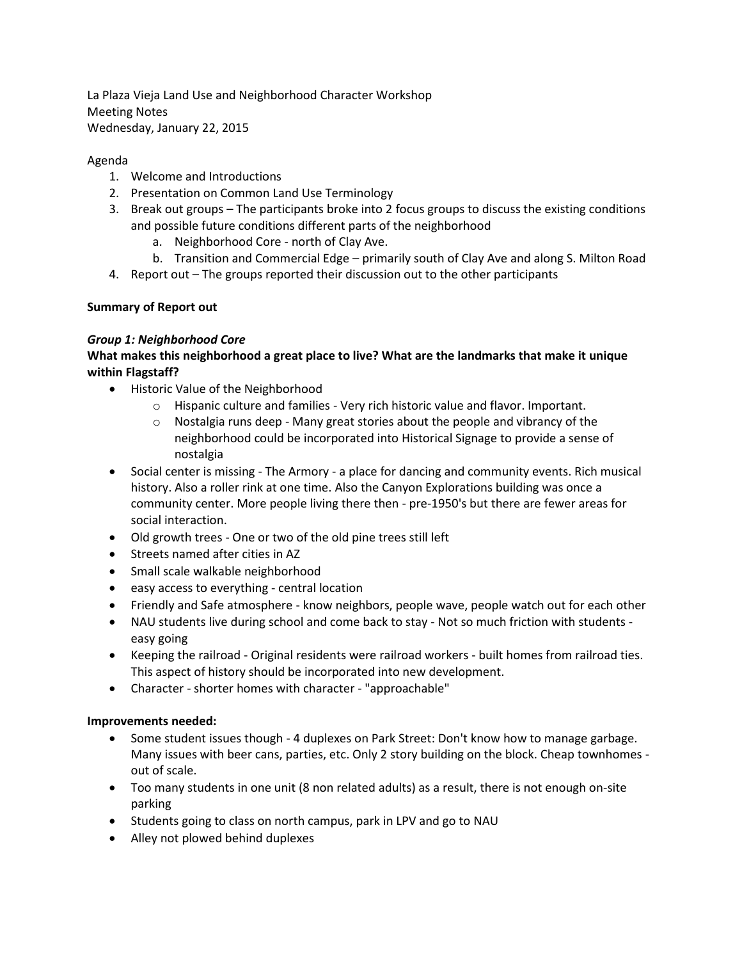La Plaza Vieja Land Use and Neighborhood Character Workshop Meeting Notes Wednesday, January 22, 2015

### Agenda

- 1. Welcome and Introductions
- 2. Presentation on Common Land Use Terminology
- 3. Break out groups The participants broke into 2 focus groups to discuss the existing conditions and possible future conditions different parts of the neighborhood
	- a. Neighborhood Core north of Clay Ave.
	- b. Transition and Commercial Edge primarily south of Clay Ave and along S. Milton Road
- 4. Report out The groups reported their discussion out to the other participants

# **Summary of Report out**

# *Group 1: Neighborhood Core*

# **What makes this neighborhood a great place to live? What are the landmarks that make it unique within Flagstaff?**

- Historic Value of the Neighborhood
	- o Hispanic culture and families Very rich historic value and flavor. Important.
	- o Nostalgia runs deep Many great stories about the people and vibrancy of the neighborhood could be incorporated into Historical Signage to provide a sense of nostalgia
- Social center is missing The Armory a place for dancing and community events. Rich musical history. Also a roller rink at one time. Also the Canyon Explorations building was once a community center. More people living there then - pre-1950's but there are fewer areas for social interaction.
- Old growth trees One or two of the old pine trees still left
- Streets named after cities in AZ
- Small scale walkable neighborhood
- easy access to everything central location
- Friendly and Safe atmosphere know neighbors, people wave, people watch out for each other
- NAU students live during school and come back to stay Not so much friction with students easy going
- Keeping the railroad Original residents were railroad workers built homes from railroad ties. This aspect of history should be incorporated into new development.
- Character shorter homes with character "approachable"

### **Improvements needed:**

- Some student issues though 4 duplexes on Park Street: Don't know how to manage garbage. Many issues with beer cans, parties, etc. Only 2 story building on the block. Cheap townhomes out of scale.
- Too many students in one unit (8 non related adults) as a result, there is not enough on-site parking
- Students going to class on north campus, park in LPV and go to NAU
- Alley not plowed behind duplexes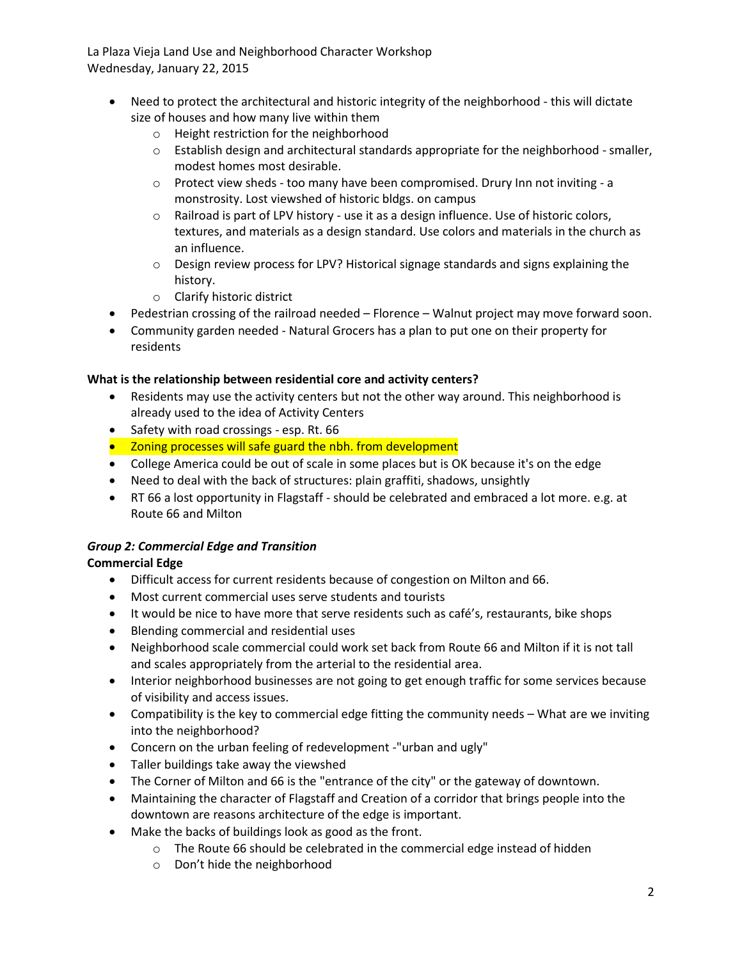La Plaza Vieja Land Use and Neighborhood Character Workshop Wednesday, January 22, 2015

- Need to protect the architectural and historic integrity of the neighborhood this will dictate size of houses and how many live within them
	- o Height restriction for the neighborhood
	- $\circ$  Establish design and architectural standards appropriate for the neighborhood smaller, modest homes most desirable.
	- $\circ$  Protect view sheds too many have been compromised. Drury Inn not inviting a monstrosity. Lost viewshed of historic bldgs. on campus
	- o Railroad is part of LPV history use it as a design influence. Use of historic colors, textures, and materials as a design standard. Use colors and materials in the church as an influence.
	- $\circ$  Design review process for LPV? Historical signage standards and signs explaining the history.
	- o Clarify historic district
- Pedestrian crossing of the railroad needed Florence Walnut project may move forward soon.
- Community garden needed Natural Grocers has a plan to put one on their property for residents

### **What is the relationship between residential core and activity centers?**

- Residents may use the activity centers but not the other way around. This neighborhood is already used to the idea of Activity Centers
- Safety with road crossings esp. Rt. 66
- Zoning processes will safe guard the nbh. from development
- College America could be out of scale in some places but is OK because it's on the edge
- Need to deal with the back of structures: plain graffiti, shadows, unsightly
- RT 66 a lost opportunity in Flagstaff should be celebrated and embraced a lot more. e.g. at Route 66 and Milton

# *Group 2: Commercial Edge and Transition*

# **Commercial Edge**

- Difficult access for current residents because of congestion on Milton and 66.
- Most current commercial uses serve students and tourists
- It would be nice to have more that serve residents such as café's, restaurants, bike shops
- Blending commercial and residential uses
- Neighborhood scale commercial could work set back from Route 66 and Milton if it is not tall and scales appropriately from the arterial to the residential area.
- Interior neighborhood businesses are not going to get enough traffic for some services because of visibility and access issues.
- Compatibility is the key to commercial edge fitting the community needs What are we inviting into the neighborhood?
- Concern on the urban feeling of redevelopment -"urban and ugly"
- Taller buildings take away the viewshed
- The Corner of Milton and 66 is the "entrance of the city" or the gateway of downtown.
- Maintaining the character of Flagstaff and Creation of a corridor that brings people into the downtown are reasons architecture of the edge is important.
- Make the backs of buildings look as good as the front.
	- o The Route 66 should be celebrated in the commercial edge instead of hidden
	- o Don't hide the neighborhood